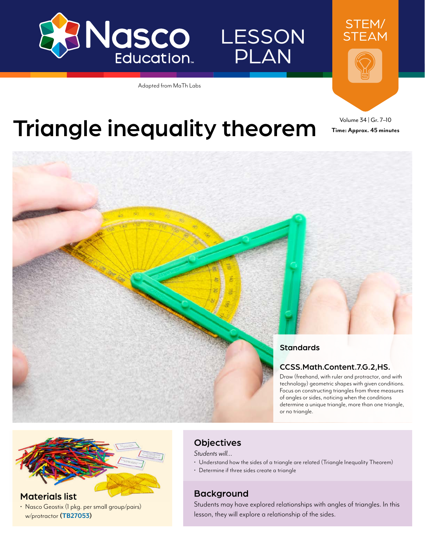

## **LESSON** PLAN

Adapted from MaTh Labs



**Time: Approx. 45 minutes**

# Triangle inequality theorem Time: Approx. 45 minu





#### Materials list

• Nasco Geostix (1 pkg. per small group/pairs) w/protractor **([TB27053\)](https://www.enasco.com/p/TB27053)**

#### **Objectives**

*Students will…*

- Understand how the sides of a triangle are related (Triangle Inequality Theorem)
- Determine if three sides create a triangle

#### Background

Students may have explored relationships with angles of triangles. In this lesson, they will explore a relationship of the sides.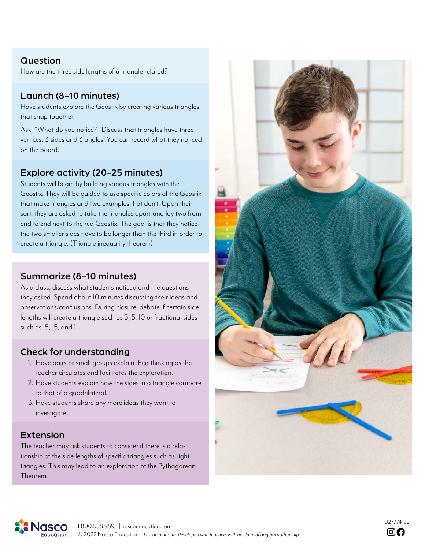#### Question

How are the three side lengths of a triangle related?

#### Launch (8-10 minutes)

Have students explore the Geostix by creating various triangles that snap together.

Ask: "What do you notice?" Discuss that triangles have three vertices, 3 sides and 3 angles. You can record what they noticed on the board.

#### Explore activity (20-25 minutes)

Students will begin by building various triangles with the Geostix. They will be guided to use specific colors of the Geostix that make triangles and two examples that don't. Upon their sort, they are asked to take the triangles apart and lay two from end to end next to the red Geostix. The goal is that they notice the two smaller sides have to be longer than the third in order to create a triangle. (Triangle inequality theorem)

#### Summarize (8-10 minutes)

As a class, discuss what students noticed and the questions they asked. Spend about 10 minutes discussing their ideas and observations/conclusions. During closure, debate if certain side lengths will create a triangle such as 5, 5, 10 or fractional sides such as .5, .5, and 1.

#### Check for understanding

- 1. Have pairs or small groups explain their thinking as the teacher circulates and facilitates the exploration.
- 2. Have students explain how the sides in a triangle compare to that of a quadrilateral.
- 3. Have students share any more ideas they want to investigate.

#### Extension

The teacher may ask students to consider if there is a relationship of the side lengths of specific triangles such as right triangles. This may lead to an exploration of the Pythagorean Theorem.